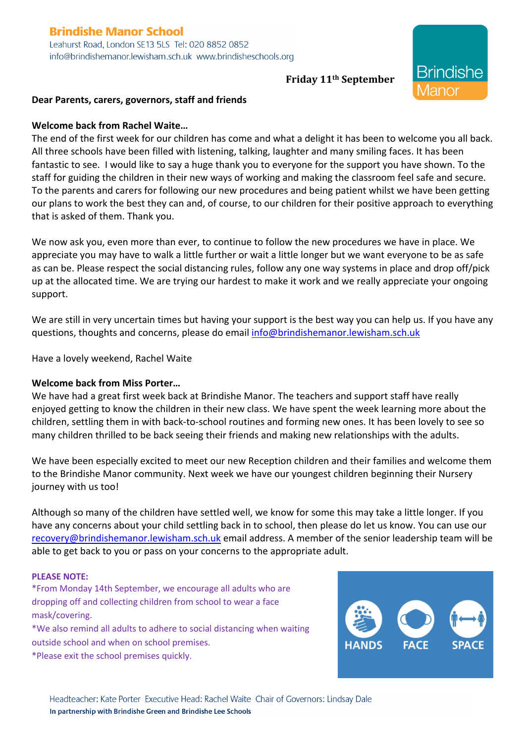# **Brindishe Manor School**

Leahurst Road, London SE13 5LS Tel: 020 8852 0852 info@brindishemanor.lewisham.sch.uk www.brindisheschools.org

## **Friday 11th September**

**Brindishe** 

1anor

### **Dear Parents, carers, governors, staff and friends**

#### **Welcome back from Rachel Waite…**

The end of the first week for our children has come and what a delight it has been to welcome you all back. All three schools have been filled with listening, talking, laughter and many smiling faces. It has been fantastic to see. I would like to say a huge thank you to everyone for the support you have shown. To the staff for guiding the children in their new ways of working and making the classroom feel safe and secure. To the parents and carers for following our new procedures and being patient whilst we have been getting our plans to work the best they can and, of course, to our children for their positive approach to everything that is asked of them. Thank you.

We now ask you, even more than ever, to continue to follow the new procedures we have in place. We appreciate you may have to walk a little further or wait a little longer but we want everyone to be as safe as can be. Please respect the social distancing rules, follow any one way systems in place and drop off/pick up at the allocated time. We are trying our hardest to make it work and we really appreciate your ongoing support.

We are still in very uncertain times but having your support is the best way you can help us. If you have any questions, thoughts and concerns, please do email info@brindishemanor.lewisham.sch.uk

Have a lovely weekend, Rachel Waite

## **Welcome back from Miss Porter…**

We have had a great first week back at Brindishe Manor. The teachers and support staff have really enjoyed getting to know the children in their new class. We have spent the week learning more about the children, settling them in with back-to-school routines and forming new ones. It has been lovely to see so many children thrilled to be back seeing their friends and making new relationships with the adults.

We have been especially excited to meet our new Reception children and their families and welcome them to the Brindishe Manor community. Next week we have our youngest children beginning their Nursery journey with us too!

Although so many of the children have settled well, we know for some this may take a little longer. If you have any concerns about your child settling back in to school, then please do let us know. You can use our recovery@brindishemanor.lewisham.sch.uk email address. A member of the senior leadership team will be able to get back to you or pass on your concerns to the appropriate adult.

#### **PLEASE NOTE:**

\*From Monday 14th September, we encourage all adults who are dropping off and collecting children from school to wear a face mask/covering.

\*We also remind all adults to adhere to social distancing when waiting outside school and when on school premises.

\*Please exit the school premises quickly.

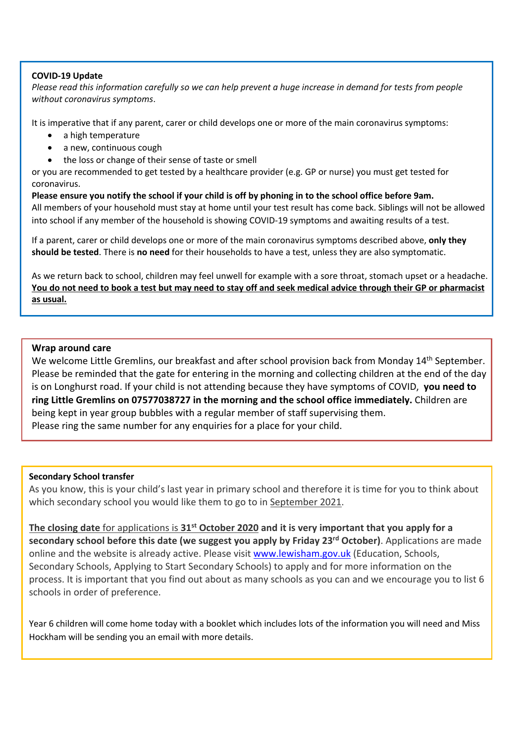#### **COVID-19 Update**

*Please read this information carefully so we can help prevent a huge increase in demand for tests from people without coronavirus symptoms*.

It is imperative that if any parent, carer or child develops one or more of the main coronavirus symptoms:

- a high temperature
- a new, continuous cough
- the loss or change of their sense of taste or smell

or you are recommended to get tested by a healthcare provider (e.g. GP or nurse) you must get tested for coronavirus.

**Please ensure you notify the school if your child is off by phoning in to the school office before 9am.** All members of your household must stay at home until your test result has come back. Siblings will not be allowed into school if any member of the household is showing COVID-19 symptoms and awaiting results of a test.

If a parent, carer or child develops one or more of the main coronavirus symptoms described above, **only they should be tested**. There is **no need** for their households to have a test, unless they are also symptomatic.

As we return back to school, children may feel unwell for example with a sore throat, stomach upset or a headache. **You do not need to book a test but may need to stay off and seek medical advice through their GP or pharmacist as usual.**

## **Wrap around care**

We welcome Little Gremlins, our breakfast and after school provision back from Monday 14<sup>th</sup> September. Please be reminded that the gate for entering in the morning and collecting children at the end of the day is on Longhurst road. If your child is not attending because they have symptoms of COVID, **you need to ring Little Gremlins on 07577038727 in the morning and the school office immediately.** Children are being kept in year group bubbles with a regular member of staff supervising them. Please ring the same number for any enquiries for a place for your child.

#### **Secondary School transfer**

As you know, this is your child's last year in primary school and therefore it is time for you to think about which secondary school you would like them to go to in September 2021.

**The closing date** for applications is **31st October 2020 and it is very important that you apply for a secondary school before this date (we suggest you apply by Friday 23rd October)**. Applications are made online and the website is already active. Please visit www.lewisham.gov.uk (Education, Schools, Secondary Schools, Applying to Start Secondary Schools) to apply and for more information on the process. It is important that you find out about as many schools as you can and we encourage you to list 6 schools in order of preference.

Year 6 children will come home today with a booklet which includes lots of the information you will need and Miss Hockham will be sending you an email with more details.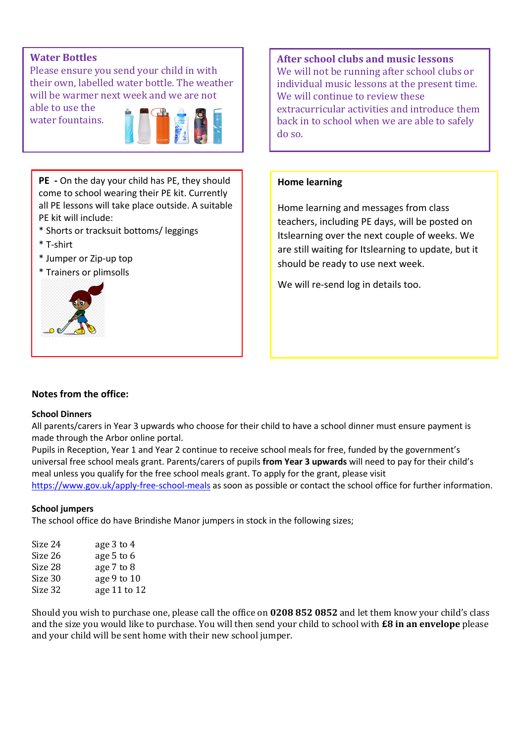## **Water Bottles**

Please ensure you send your child in with their own, labelled water bottle. The weather will be warmer next week and we are not

able to use the water fountains.



**PE -** On the day your child has PE, they should come to school wearing their PE kit. Currently all PE lessons will take place outside. A suitable PE kit will include:

- \* Shorts or tracksuit bottoms/ leggings
- \* T-shirt
- \* Jumper or Zip-up top
- \* Trainers or plimsolls



**After school clubs and music lessons** We will not be running after school clubs or individual music lessons at the present time. We will continue to review these extracurricular activities and introduce them back in to school when we are able to safely do so.

## **Home learning**

Home learning and messages from class teachers, including PE days, will be posted on Itslearning over the next couple of weeks. We are still waiting for Itslearning to update, but it should be ready to use next week.

We will re-send log in details too.

## **Notes from the office:**

#### **School Dinners**

All parents/carers in Year 3 upwards who choose for their child to have a school dinner must ensure payment is made through the Arbor online portal.

Pupils in Reception, Year 1 and Year 2 continue to receive school meals for free, funded by the government's universal free school meals grant. Parents/carers of pupils **from Year 3 upwards** will need to pay for their child's meal unless you qualify for the free school meals grant. To apply for the grant, please visit https://www.gov.uk/apply-free-school-meals as soon as possible or contact the school office for further information.

#### **School jumpers**

The school office do have Brindishe Manor jumpers in stock in the following sizes;

| Size 24 | age 3 to 4   |
|---------|--------------|
| Size 26 | age 5 to 6   |
| Size 28 | age 7 to 8   |
| Size 30 | age 9 to 10  |
| Size 32 | age 11 to 12 |

Should you wish to purchase one, please call the office on 0208 852 0852 and let them know your child's class and the size you would like to purchase. You will then send your child to school with **£8 in an envelope** please and your child will be sent home with their new school jumper.